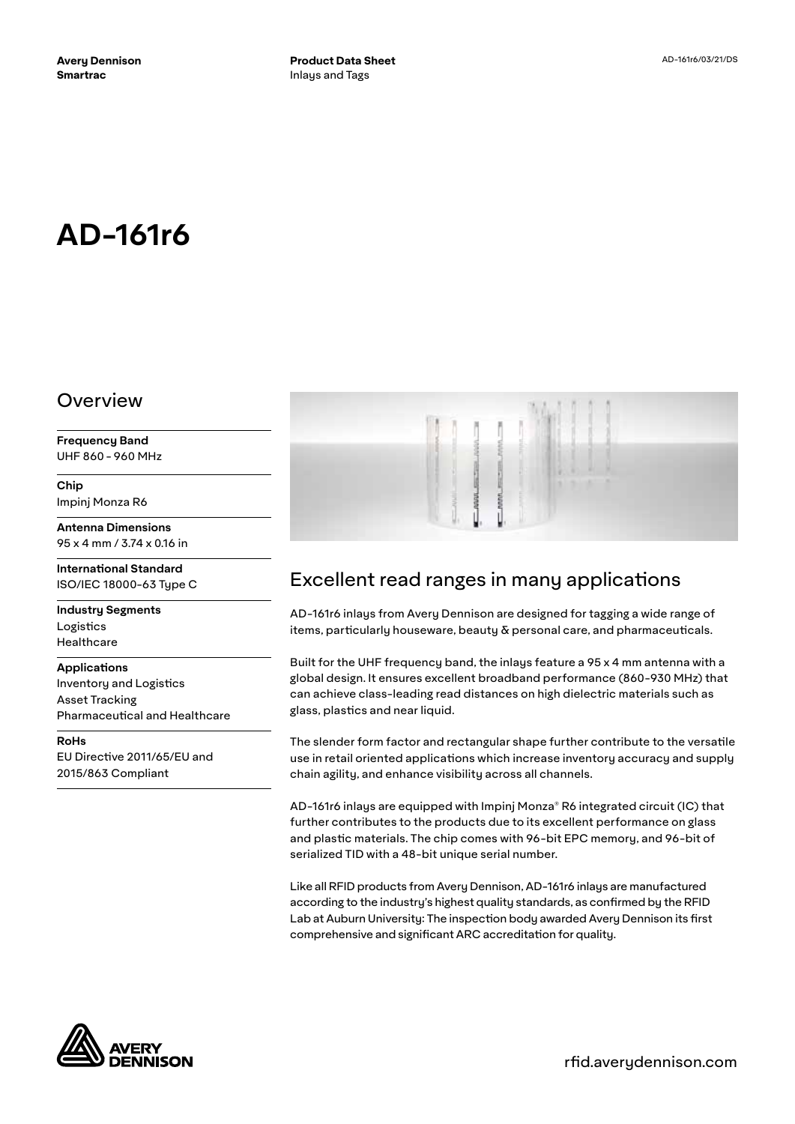# **AD-161r6**

#### Overview

**Frequency Band** UHF 860 - 960 MHz

**Chip** Impinj Monza R6

**Antenna Dimensions** 95 x 4 mm / 3.74 x 0.16 in

**International Standard** ISO/IEC 18000-63 Type C

**Industry Segments** Logistics Healthcare

**Applications**

Inventory and Logistics Asset Tracking Pharmaceutical and Healthcare

**RoHs** EU Directive 2011/65/EU and 2015/863 Compliant



## Excellent read ranges in many applications

AD-161r6 inlays from Avery Dennison are designed for tagging a wide range of items, particularly houseware, beauty  $\delta$  personal care, and pharmaceuticals.

Built for the UHF frequency band, the inlays feature a 95 x 4 mm antenna with a global design. It ensures excellent broadband performance (860-930 MHz) that can achieve class-leading read distances on high dielectric materials such as glass, plastics and near liquid.

The slender form factor and rectangular shape further contribute to the versatile use in retail oriented applications which increase inventory accuracy and supply chain agility, and enhance visibility across all channels.

AD-161r6 inlays are equipped with Impinj Monza® R6 integrated circuit (IC) that further contributes to the products due to its excellent performance on glass and plastic materials. The chip comes with 96-bit EPC memory, and 96-bit of serialized TID with a 48-bit unique serial number.

Like all RFID products from Avery Dennison, AD-161r6 inlays are manufactured according to the industry's highest quality standards, as confirmed by the RFID Lab at Auburn University: The inspection body awarded Avery Dennison its first comprehensive and significant ARC accreditation for quality.